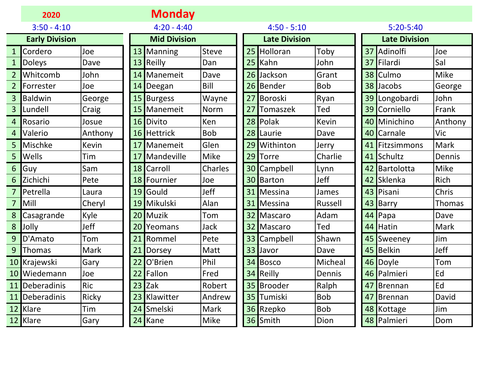|                | 2020                  |              |    | <b>Monday</b>       |             |                 |                      |                |    |                      |               |
|----------------|-----------------------|--------------|----|---------------------|-------------|-----------------|----------------------|----------------|----|----------------------|---------------|
|                | $3:50 - 4:10$         |              |    | $4:20 - 4:40$       |             |                 | $4:50 - 5:10$        |                |    | 5:20-5:40            |               |
|                | <b>Early Division</b> |              |    | <b>Mid Division</b> |             |                 | <b>Late Division</b> |                |    | <b>Late Division</b> |               |
| $\mathbf{1}$   | Cordero               | Joe          |    | 13 Manning          | Steve       |                 | 25 Holloran          | Toby           |    | 37 Adinolfi          | Joe           |
| $\mathbf{1}$   | Doleys                | Dave         |    | 13 Reilly           | Dan         |                 | 25 Kahn              | John           |    | 37 Filardi           | Sal           |
| $\overline{2}$ | Whitcomb              | John         |    | 14 Manemeit         | Dave        | 26              | Jackson              | Grant          |    | 38 Culmo             | <b>Mike</b>   |
| $\overline{2}$ | Forrester             | Joe          |    | 14 Deegan           | Bill        |                 | 26 Bender            | <b>Bob</b>     |    | 38 Jacobs            | George        |
| $\overline{3}$ | <b>Baldwin</b>        | George       |    | 15 Burgess          | Wayne       | 27 <sup>1</sup> | Boroski              | Ryan           |    | 39 Longobardi        | John          |
| 3              | Lundell               | Craig        |    | 15 Manemeit         | <b>Norm</b> | 27              | <b>Tomaszek</b>      | Ted            |    | 39 Corniello         | Frank         |
| 4              | Rosario               | Josue        |    | 16 Divito           | Ken         |                 | 28 Polak             | Kevin          |    | 40 Minichino         | Anthony       |
| 4              | Valerio               | Anthony      |    | 16 Hettrick         | <b>Bob</b>  |                 | 28 Laurie            | Dave           |    | 40 Carnale           | Vic           |
| 5              | Mischke               | <b>Kevin</b> |    | 17 Manemeit         | Glen        | 29              | Withinton            | Jerry          | 41 | Fitzsimmons          | Mark          |
| 5              | Wells                 | Tim          | 17 | Mandeville          | Mike        | 29              | <b>Torre</b>         | Charlie        |    | 41 Schultz           | Dennis        |
| 6              | Guy                   | Sam          | 18 | Carroll             | Charles     | 30 <sup>1</sup> | Campbell             | Lynn           | 42 | Bartolotta           | <b>Mike</b>   |
| 6              | Zichichi              | Pete         |    | 18 Fournier         | Joe         |                 | 30 Barton            | <b>Jeff</b>    | 42 | Sklenka              | Rich          |
| $\overline{7}$ | Petrella              | Laura        |    | 19 Gould            | Jeff        |                 | 31 Messina           | James          |    | 43 Pisani            | Chris         |
| $\overline{7}$ | Mill                  | Cheryl       |    | 19 Mikulski         | Alan        | 31              | Messina              | <b>Russell</b> |    | 43 Barry             | <b>Thomas</b> |
| 8              | Casagrande            | Kyle         |    | 20 Muzik            | Tom         | 32              | Mascaro              | Adam           |    | 44 Papa              | Dave          |
| 8              | Jolly                 | Jeff         |    | 20 Yeomans          | Jack        |                 | 32 Mascaro           | Ted            |    | 44 Hatin             | Mark          |
| 9              | D'Amato               | Tom          | 21 | Rommel              | Pete        |                 | 33 Campbell          | Shawn          |    | 45 Sweeney           | Jim           |
| 9              | <b>Thomas</b>         | Mark         | 21 | Dorsey              | Matt        |                 | 33 Javor             | Dave           |    | 45 Belkin            | Jeff          |
|                | 10 Krajewski          | Gary         | 22 | O'Brien             | Phil        |                 | 34 Bosco             | Micheal        |    | 46 Doyle             | Tom           |
| 10             | Wiedemann             | Joe          |    | 22 Fallon           | Fred        |                 | 34 Reilly            | Dennis         |    | 46 Palmieri          | Ed            |
| 11             | Deberadinis           | <b>Ric</b>   |    | $23$ Zak            | Robert      |                 | 35 Brooder           | Ralph          | 47 | Brennan              | Ed            |
| 11             | Deberadinis           | Ricky        |    | 23 Klawitter        | Andrew      |                 | 35 Tumiski           | <b>Bob</b>     |    | 47 Brennan           | David         |
|                | 12 Klare              | Tim          |    | 24 Smelski          | Mark        |                 | 36 Rzepko            | <b>Bob</b>     |    | 48 Kottage           | Jim           |
|                | 12 Klare              | Gary         |    | 24 Kane             | Mike        |                 | 36 Smith             | Dion           |    | 48 Palmieri          | Dom           |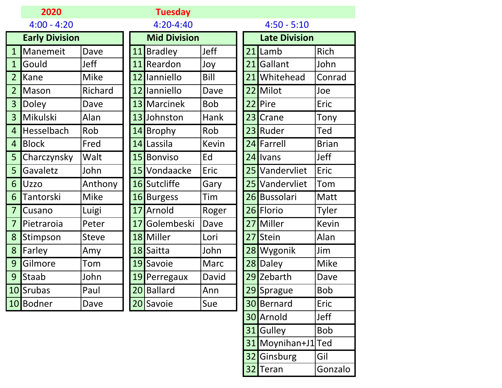|                | 2020                  |              | <b>Tuesday</b>      |              |    |                      |                  |
|----------------|-----------------------|--------------|---------------------|--------------|----|----------------------|------------------|
|                | $4:00 - 4:20$         |              | $4:20 - 4:40$       |              |    | $4:50 - 5:10$        |                  |
|                | <b>Early Division</b> |              | <b>Mid Division</b> |              |    | <b>Late Division</b> |                  |
| $\mathbf{1}$   | Manemeit              | Dave         | 11 Bradley          | Jeff         | 21 | Lamb                 | Rich             |
| $\mathbf{1}$   | Gould                 | Jeff         | 11 Reardon          | Joy          | 21 | Gallant              | John             |
| $\overline{2}$ | Kane                  | <b>Mike</b>  | 12 Ianniello        | Bill         | 21 | Whitehead            | Conrad           |
| $\overline{2}$ | Mason                 | Richard      | 12 Ianniello        | Dave         |    | 22 Milot             | Joe              |
| 3              | <b>Doley</b>          | Dave         | 13 Marcinek         | <b>Bob</b>   | 22 | Pire                 | Eric             |
| $\overline{3}$ | Mikulski              | Alan         | 13 Johnston         | <b>Hank</b>  |    | 23 Crane             | Tony             |
| $\overline{4}$ | Hesselbach            | Rob          | 14 Brophy           | Rob          | 23 | Ruder                | Ted              |
| $\overline{4}$ | <b>Block</b>          | Fred         | 14 Lassila          | <b>Kevin</b> |    | 24 Farrell           | <b>Brian</b>     |
| 5              | Charczynsky           | Walt         | 15 Bonviso          | Ed           |    | 24 Ivans             | <b>Jeff</b>      |
| 5              | Gavaletz              | John         | 15 Vondaacke        | Eric         |    | 25 Vandervliet       | Eric             |
| 6              | Uzzo                  | Anthony      | 16 Sutcliffe        | Gary         |    | 25 Vandervliet       | Tom              |
| 6              | <b>Tantorski</b>      | <b>Mike</b>  | 16 Burgess          | Tim          |    | 26 Bussolari         | Matt             |
| $\overline{7}$ | Cusano                | Luigi        | 17 Arnold           | Roger        |    | 26 Florio            | Tyler            |
| $\overline{7}$ | Pietraroia            | Peter        | 17 Golembeski       | Dave         |    | 27 Miller            | <b>Kevin</b>     |
| 8              | Stimpson              | <b>Steve</b> | 18 Miller           | Lori         | 27 | Stein                | Alan             |
| 8              | Farley                | Amy          | 18 Saitta           | John         |    | 28 Wygonik           | Jim              |
| 9              | Gilmore               | Tom          | 19 Savoie           | <b>Marc</b>  |    | 28 Daley             | <b>Mike</b>      |
| 9              | <b>Staab</b>          | John         | 19 Perregaux        | David        |    | 29 Zebarth           | Dave             |
|                | 10 Srubas             | Paul         | 20 Ballard          | Ann          | 29 | Sprague              | <b>Bob</b>       |
|                | 10 Bodner             | Dave         | 20 Savoie           | Sue          |    | 30 Bernard           | Eric             |
|                |                       |              |                     |              |    | 30 Arnold            | I <sub>eff</sub> |

|                 | 21 <b>I</b> Lamb | Rich         |
|-----------------|------------------|--------------|
| 21              | Gallant          | John         |
| 21              | Whitehead        | Conrad       |
| 22              | Milot            | Joe          |
| 22              | Pire             | Eric         |
| 23              | Crane            | Tony         |
| 23              | Ruder            | Ted          |
| 24              | Farrell          | <b>Brian</b> |
| 24              | Ivans            | Jeff         |
| 25              | Vandervliet      | Eric         |
| 25              | Vandervliet      | Tom          |
|                 | 26 Bussolari     | Matt         |
|                 | 26 Florio        | <b>Tyler</b> |
| 27              | Miller           | Kevin        |
| 27              | Stein            | Alan         |
| 28              | Wygonik          | Jim          |
| 28              | Daley            | Mike         |
| 29              | Zebarth          | Dave         |
| 29              | Sprague          | Bob          |
| 30 <sub>l</sub> | Bernard          | Eric         |
|                 | 30 Arnold        | Jeff         |
|                 | 31 Gulley        | <b>Bob</b>   |
| 31              | Moynihan+J1 Ted  |              |
| 32              | Ginsburg         | Gil          |
| 32              | Teran            | Gonzalo      |